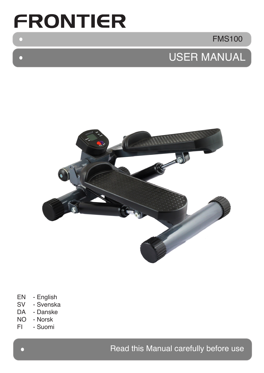# **FRONTIER**

 $\bullet$ 

 $\Box$ 

FMS100

## USER MANUAL



- EN English<br>SV Svenska
- Svenska
- DA Danske
- NO Norsk
- FI Suomi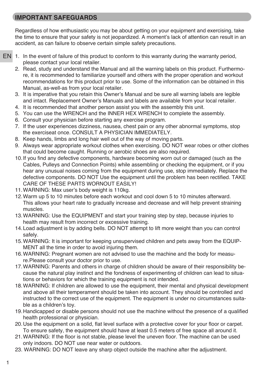## **IMPORTANT SAFEGUARDS**

Regardless of how enthusiastic you may be about getting on your equipment and exercising, take the time to ensure that your safety is not jeopardized. A moment's lack of attention can result in an accident, as can failure to observe certain simple safety precautions.

- EN 1. In the event of failure of this product to conform to this warranty during the warranty period, please contact your local retailer.
	- 2. Read, study and understand the Manual and all the warning labels on this product. Furthermore, it is recommended to familiarize yourself and others with the proper operation and workout recommendations for this product prior to use. Some of the information can be obtained in this Manual, as-well-as from your local retailer.
	- 3. It is imperative that you retain this Owner's Manual and be sure all warning labels are legible and intact. Replacement Owner's Manuals and labels are available from your local retailer.
	- 4. It is recommended that another person assist you with the assembly this unit.
	- 5. You can use the WRENCH and the INNER HEX WRENCH to complete the assembly.
	- 6. Consult your physician before starting any exercise program.
	- 7. If the user experiences dizziness, nausea, chest pain or any other abnormal symptoms, stop the exerciseat once. CONSULT A PHYSICIAN IMMEDIATELY.
	- 8. Keep hands, limbs and long hair well out of the way of moving parts.
	- 9. Always wear appropriate workout clothes when exercising. DO NOT wear robes or other clothes that could become caught. Running or aerobic shoes are also required.
	- 10.If you find any defective components, hardware becoming worn out or damaged (such as the Cables, Pulleys and Connection Points) while assembling or checking the equipment, or if you hear any unusual noises coming from the equipment during use, stop immediately. Replace the defective components. DO NOT Use the equipment until the problem has been rectified. TAKE CARE OF THESE PARTS WORNOUT EASILY!
	- 11.WARNING: Max user's body weight is 110kg.
	- 12.Warm up 5 to 10 minutes before each workout and cool down 5 to 10 minutes afterward. This allows your heart rate to gradually increase and decrease and will help prevent straining muscles.
	- 13.WARNING: Use the EQUIPMENT and start your training step by step, because injuries to health may result from incorrect or excessive training.
	- 14.Load adjustment is by adding bells. DO NOT attempt to lift more weight than you can control safely.
	- 15.WARNING: It is important for keeping unsupervised children and pets away from the EQUIP-MENT all the time in order to avoid injuring them.
	- 16.WARNING: Pregnant women are not advised to use the machine and the body for measure.Please consult your doctor prior to use.
	- 17.WARNING: Parents and others in charge of children should be aware of their responsibility because the natural play instinct and the fondness of experimenting of children can lead to situations or behaviors for which the training equipment is not intended.
	- 18.WARNING: If children are allowed to use the equipment, their mental and physical development and above all their temperament should be taken into account. They should be controlled and instructed to the correct use of the equipment. The equipment is under no circumstances suitable as a children's toy.
	- 19.Handicapped or disable persons should not use the machine without the presence of a qualified health professional or physician.
	- 20.Use the equipment on a solid, flat level surface with a protective cover for your floor or carpet. To ensure safety, the equipment should have at least 0.5 meters of free space all around it.
	- 21.WARNING: If the floor is not stable, please level the uneven floor. The machine can be used only indoors. DO NOT use near water or outdoors.
	- 23. WARNING: DO NOT leave any sharp object outside the machine after the adjustment.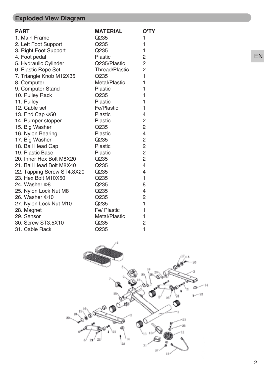## **Exploded View Diagram**

| <b>PART</b>                | <b>MATERIAL</b>       | Q'TY           |
|----------------------------|-----------------------|----------------|
| 1. Main Frame              | Q235                  | 1              |
| 2. Left Foot Support       | Q235                  | $\mathbf{1}$   |
| 3. Right Foot Support      | Q235                  | 1              |
| 4. Foot pedal              | <b>Plastic</b>        | $\overline{2}$ |
| 5. Hydraulic Cylinder      | Q235/Plastic          | $\overline{2}$ |
| 6. Elastic Rope Set        | <b>Thread/Plastic</b> | $\overline{c}$ |
| 7. Triangle Knob M12X35    | Q235                  | $\mathbf{1}$   |
| 8. Computer                | Metal/Plastic         | 1              |
| 9. Computer Stand          | <b>Plastic</b>        | 1              |
| 10. Pulley Rack            | Q235                  | $\mathbf{1}$   |
| 11. Pulley                 | <b>Plastic</b>        | 1              |
| 12. Cable set              | Fe/Plastic            | 1              |
| 13. End Cap $\Phi$ 50      | <b>Plastic</b>        | $\overline{4}$ |
| 14. Bumper stopper         | <b>Plastic</b>        | $\overline{c}$ |
| 15. Big Washer             | Q235                  | $\overline{2}$ |
| 16. Nylon Bearing          | <b>Plastic</b>        | 4              |
| 17. Big Washer             | Q235                  | $\overline{c}$ |
| 18. Ball Head Cap          | <b>Plastic</b>        | $\overline{2}$ |
| 19. Plastic Base           | <b>Plastic</b>        | $\overline{c}$ |
| 20. Inner Hex Bolt M8X20   | Q235                  | $\overline{2}$ |
| 21. Ball Head Bolt M8X40   | Q235                  | $\overline{4}$ |
| 22. Tapping Screw ST4.8X20 | Q235                  | 4              |
| 23. Hex Bolt M10X50        | Q235                  | $\mathbf{1}$   |
| 24. Washer $\Phi$ 8        | Q235                  | 8              |
| 25. Nylon Lock Nut M8      | Q235                  | $\overline{4}$ |
| 26. Washer $\Phi$ 10       | Q235                  | $\overline{c}$ |
| 27. Nylon Lock Nut M10     | Q235                  | $\mathbf{1}$   |
| 28. Magnet                 | Fe/ Plastic           | 1              |
| 29. Sensor                 | Metal/Plastic         | 1              |
| 30. Screw ST3.5X10         | Q235                  | $\overline{2}$ |
| 31. Cable Rack             | Q235                  | 1              |



EN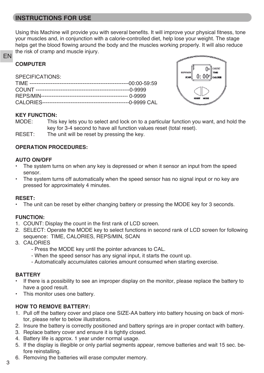## **INSTRUCTIONS FOR USE**

Using this Machine will provide you with several benefits. It will improve your physical fitness, tone your muscles and, in conjunction with a calorie-controlled diet, help lose your weight. The stage helps get the blood flowing around the body and the muscles working properly. It will also reduce the risk of cramp and muscle injury.

#### **COMPUTER**

EN

SPECIFICATIONS:



#### **KEY FUNCTION:**

MODE: This key lets you to select and lock on to a particular function you want, and hold the key for 3-4 second to have all function values reset (total reset).

RESET: The unit will be reset by pressing the key.

#### **OPERATION PROCEDURES:**

#### **AUTO ON/OFF**

- The system turns on when any key is depressed or when it sensor an input from the speed sensor.
- The system turns off automatically when the speed sensor has no signal input or no key are pressed for approximately 4 minutes.

#### **RESET:**

• The unit can be reset by either changing battery or pressing the MODE key for 3 seconds.

#### **FUNCTION:**

- 1. COUNT: Display the count in the first rank of LCD screen.
- 2. SELECT: Operate the MODE key to select functions in second rank of LCD screen for following sequence: TIME, CALORIES, REPS/MIN, SCAN
- 3. CALORIES
	- Press the MODE key until the pointer advances to CAL.
	- When the speed sensor has any signal input, it starts the count up.
	- Automatically accumulates calories amount consumed when starting exercise.

#### **BATTERY**

- If there is a possibility to see an improper display on the monitor, please replace the battery to have a good result.
- This monitor uses one battery.

#### **HOW TO REMOVE BATTERY:**

- 1. Pull off the battery cover and place one SIZE-AA battery into battery housing on back of monitor, please refer to below illustrations.
- 2. Insure the battery is correctly positioned and battery springs are in proper contact with battery.
- 3. Replace battery cover and ensure it is tightly closed.
- 4. Battery life is approx. 1 year under normal usage.
- 5. If the display is illegible or only partial segments appear, remove batteries and wait 15 sec. before reinstalling.
- 6. Removing the batteries will erase computer memory.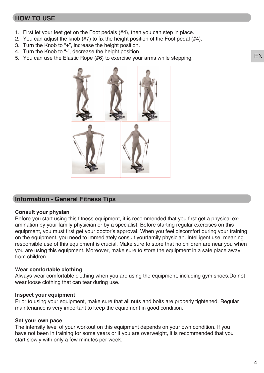## **HOW TO USE**

- 1. First let your feet get on the Foot pedals (#4), then you can step in place.
- 2. You can adjust the knob  $(#7)$  to fix the height position of the Foot pedal  $(#4)$ .
- 3. Turn the Knob to "+", increase the height position.
- 4. Turn the Knob to "-", decrease the height position
- 5. You can use the Elastic Rope (#6) to exercise your arms while stepping.



#### **Information - General Fitness Tips**

#### **Consult your physian**

Before you start using this fitness equipment, it is recommended that you first get a physical examination by your family physician or by a specialist. Before starting regular exercises on this equipment, you must first get your doctor's approval. When you feel discomfort during your training on the equipment, you need to immediately consult yourfamily physician. Intelligent use, meaning responsible use of this equipment is crucial. Make sure to store that no children are near you when you are using this equipment. Moreover, make sure to store the equipment in a safe place away from children.

#### **Wear comfortable clothing**

Always wear comfortable clothing when you are using the equipment, including gym shoes.Do not wear loose clothing that can tear during use.

#### **Inspect your equipment**

Prior to using your equipment, make sure that all nuts and bolts are properly tightened. Regular maintenance is very important to keep the equipment in good condition.

#### **Set your own pace**

The intensity level of your workout on this equipment depends on your own condition. If you have not been in training for some years or if you are overweight, it is recommended that you start slowly with only a few minutes per week.

EN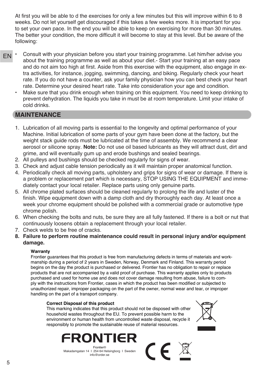At first you will be able to d the exercises for only a few minutes but this will improve within 6 to 8 weeks. Do not let yourself get discouraged if this takes a few weeks more. It is important for you to set your own pace. In the end you will be able to keep on exercising for more than 30 minutes. The better your condition, the more difficult it will become to stay at this level. But be aware of the following:

- EN • Consult with your physician before you start your training programme. Let him/her advise you about the training programme as well as about your diet.- Start your training at an easy pace and do not aim too high at first. Aside from this exercise with the equipment, also engage in extra activities, for instance, jogging, swimming, dancing, and biking. Regularly check your heart rate. If you do not have a counter, ask your family physician how you can best check your heart rate. Determine your desired heart rate. Take into consideration your age and condition.
	- Make sure that you drink enough when training on this equipment. You need to keep drinking to prevent dehydration. The liquids you take in must be at room temperature. Limit your intake of cold drinks.

## **MAINTENANCE**

- 1. Lubrication of all moving parts is essential to the longevity and optimal performance of your Machine. Initial lubrication of some parts of your gym have been done at the factory, but the weight stack guide rods must be lubricated at the time of assembly. We recommend a clear aerosol or silicone spray. **Note:** Do not use oil based lubricants as they will attract dust, dirt and grime, and will eventually gum up and erode bushings and sealed bearings.
- 2. All pulleys and bushings should be checked regularly for signs of wear.
- 3. Check and adjust cable tension periodically as it will maintain proper anatomical function.
- 4. Periodically check all moving parts, upholstery and grips for signs of wear or damage. If there is a problem or replacement part which is necessary, STOP USING THE EQUIPMENT and immediately contact your local retailer. Replace parts using only genuine parts.
- 5. All chrome plated surfaces should be cleaned regularly to prolong the life and luster of the finish. Wipe equipment down with a damp cloth and dry thoroughly each day. At least once a week your chrome equipment should be polished with a commercial grade or automotive type chrome polish.
- 6. When checking the bolts and nuts, be sure they are all fully fastened. If there is a bolt or nut that continuously loosens obtain a replacement through your local retailer.
- 7. Check welds to be free of cracks.
- **8. Failure to perform routine maintenance could result in personal injury and/or equipment damage.**

#### **Warranty**

Frontier guarantees that this product is free from manufacturing defects in terms of materials and workmanship during a period of 2 years in Sweden, Norway, Denmark and Finland. This warranty period begins on the day the product is purchased or delivered. Frontier has no obligation to repair or replace products that are not accompanied by a valid proof of purchase. This warranty applies only to products purchased and used for home use and does not cover damage resulting from abuse, failure to comply with the instructions from Frontier, cases in which the product has been modified or subjected to unauthorized repair, improper packaging on the part of the owner, normal wear and tear, or improper handling on the part of a transport company.

 $\mathsf{CE}$ 

#### **Correct Disposal of this product**

This marking indicates that this product should not be disposed with other household wastes throughout the EU. To prevent possible harm to the environment or human health from uncontrolled waste disposal, recycle it responsibly to promote the sustainable reuse of material resources.



Makadamgatan 14 I 254 64 Helsingborg I Sweden info@order.se

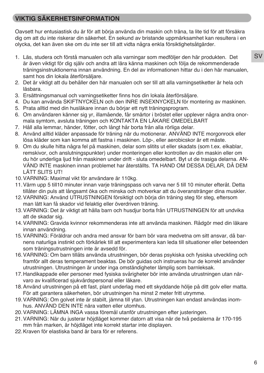## **VIKTIG SÄKERHETSINFORMATION**

Oavsett hur entusiastisk du är för att börja använda din maskin och träna, ta lite tid för att försäkra dig om att du inte riskerar din säkerhet. En sekund av bristande uppmärksamhet kan resultera i en olycka, det kan även ske om du inte ser till att vidta några enkla försiktighetsåtgärder.

- 1. Läs, studera och förstå manualen och alla varningar som medföljer den här produkten. Det är även viktigt för dig själv och andra att lära känna maskinen och följa de rekommenderade träningsinstruktionerna innan användning. En del av informationen hittar du i den här manualen, samt hos din lokala återförsäljare.
- 2. Det är viktigt att du behåller den här manualen och ser till att alla varningsetiketter är hela och läsbara.
- 3. Ersättningsmanual och varningsetiketter finns hos din lokala återförsäljare.
- 4. Du kan använda SKIFTNYCKELN och den INRE INSEXNYCKELN för montering av maskinen.
- 5. Prata alltid med din husläkare innan du börjar ett nytt träningsprogram.
- 6. Om användaren känner sig yr, illamående, får smärtor i bröstet eller upplever några andra onormala symtom, avsluta träningen och KONTAKTA EN LÄKARE OMEDELBART
- 7. Håll alla lemmar, händer, fötter, och långt hår borta från alla rörliga delar.
- 8. Använd alltid kläder anpassade för träning när du motionerar. ANVÄND INTE morgonrock eller lösa kläder som kan komma att fastna i maskinen. Löp-, eller aerobicskor är ett måste.
- 9. Om du skulle hitta några fel på maskinen, delar som slitits ut eller skadats (som t.ex. elkablar, remskivor, och anslutningspunkter) under monteringen eller kontrollen av din maskin eller om du hör underliga ljud från maskinen under drift - sluta omedelbart. Byt ut de trasiga delarna. AN-VÄND INTE maskinen innan problemet har återställts. TA HAND OM DESSA DELAR, DÅ DEM LÄTT SLITS UT!
- 10.VARNING: Maximal vikt för användare är 110kg.
- 11.Värm upp 5 till10 minuter innan varje träningspass och varva ner 5 till 10 minuter efteråt. Detta tillåter din puls att långsamt öka och minska och motverkar att du överanstränger dina muskler.
- 12.VARNING: Använd UTRUSTNINGEN försiktigt och börja din träning steg för steg, eftersom man lätt kan få skador vid felaktig eller överdriven träning.
- 13.VARNING: Det är viktigt att hålla barn och husdjur borta från UTRUSTNINGEN för att undvika att de skadar sig.
- 14.VARNING: Gravida kvinnor rekommenderas inte att använda maskinen. Rådgör med din läkare innan användning.
- 15.VARNING: Föräldrar och andra med ansvar för barn bör vara medvetna om sitt ansvar, då barnens naturliga instinkt och förkärlek till att experimentera kan leda till situationer eller beteenden som träningsutrustningen inte är avsedd för.
- 16.VARNING: Om barn tillåts använda utrustningen, bör deras psykiska och fysiska utveckling och framför allt deras temperament beaktas. De bör guidas och instrueras hur de korrekt använder utrustningen. Utrustningen är under inga omständigheter lämplig som barnleksak.
- 17.Handikappade eller personer med fysiska svårigheter bör inte använda utrustningen utan närvaro av kvalificerad sjukvårdspersonal eller läkare.
- 18.Använd utrustningen på ett fast, plant underlag med ett skyddande hölje på ditt golv eller matta. För att garantera säkerheten, bör utrustningen ha minst 2 meter fritt utrymme.
- 19.VARNING: Om golvet inte är stabilt, jämna till ytan. Utrustningen kan endast användas inomhus. ANVÄND DEN INTE nära vatten eller utomhus.
- 20.VARNING: LÄMNA INGA vassa föremål utanför utrustningen efter justeringen.
- 21.VARNING: När du justerar höjdläget kommer datorn att visa när de två pedalerna är 170-195 mm från marken, är höjdläget inte korrekt startar inte displayen.
- 22.Kraven för elastiska band är bara för er referens.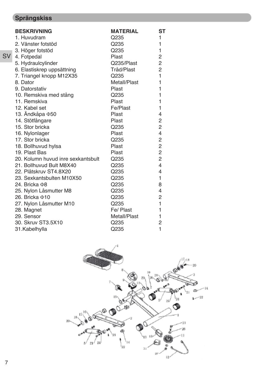## **Sprängskiss**

|           | <b>BESKRIVNING</b>                 | <b>MATERIAL</b> | ST                      |
|-----------|------------------------------------|-----------------|-------------------------|
|           | 1. Huvudram                        | Q235            | 1                       |
|           | 2. Vänster fotstöd                 | Q235            | 1                       |
|           | 3. Höger fotstöd                   | Q235            | 1                       |
| <b>SV</b> | 4. Fotpedal                        | <b>Plast</b>    | $\overline{c}$          |
|           | 5. Hydraulcylinder                 | Q235/Plast      | $\overline{c}$          |
|           | 6. Elastiskrep uppsättning         | Tråd/Plast      | $\overline{2}$          |
|           | 7. Triangel knopp M12X35           | Q235            | 1                       |
|           | 8. Dator                           | Metall/Plast    | 1                       |
|           | 9. Datorstativ                     | <b>Plast</b>    | 1                       |
|           | 10. Remskiva med stång             | Q235            | 1                       |
|           | 11. Remskiva                       | Plast           | $\mathbf{1}$            |
|           | 12. Kabel set                      | Fe/Plast        | 1                       |
|           | 13. Ändkåpa $\Phi$ 50              | <b>Plast</b>    | 4                       |
|           | 14. Stötfångare                    | <b>Plast</b>    | 2                       |
|           | 15. Stor bricka                    | Q235            | $\overline{c}$          |
|           | 16. Nylonlager                     | Plast           | $\overline{4}$          |
|           | 17. Stor bricka                    | Q235            | $\overline{\mathbf{c}}$ |
|           | 18. Bollhuvud hylsa                | <b>Plast</b>    | $\overline{2}$          |
|           | 19. Plast Bas                      | Plast           | $\overline{c}$          |
|           | 20. Kolumn huvud inre sexkantsbult | Q235            | $\overline{c}$          |
|           | 21. Bollhuvud Bult M8X40           | Q235            | $\overline{4}$          |
|           | 22. Plåtskruv ST4.8X20             | Q235            | 4                       |
|           | 23. Sexkantsbulten M10X50          | Q235            | 1                       |
|           | 24. Bricka <sub>Φ8</sub>           | Q235            | 8                       |
|           | 25. Nylon Låsmutter M8             | Q235            | $\overline{4}$          |
|           | 26. Bricka <b>Φ10</b>              | Q235            | $\overline{2}$          |
|           | 27. Nylon Låsmutter M10            | Q235            | 1                       |
|           | 28. Magnet                         | Fe/ Plast       | 1                       |
|           | 29. Sensor                         | Metall/Plast    | 1                       |
|           | 30. Skruv ST3.5X10                 | Q235            | $\overline{2}$          |
|           | 31.Kabelhylla                      | Q235            | $\mathbf{1}$            |

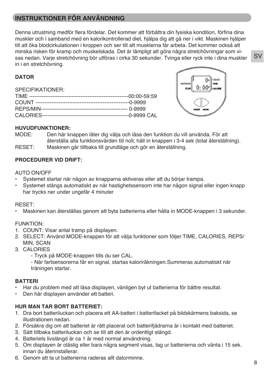## **INSTRUKTIONER FÖR ANVÄNDNING**

Denna utrustning medför flera fördelar. Det kommer att förbättra din fysiska kondition, förfina dina muskler och i samband med en kalorikontrollerad diet, hjälpa dig att gå ner i vikt. Maskinen hjälper till att öka blodcirkulationen i kroppen och ser till att musklerna får arbeta. Det kommer också att minska risken för kramp och muskelskada. Det är lämpligt att göra några stretchövningar som visas nedan. Varje stretchövning bör utföras i cirka 30 sekunder. Tvinga eller ryck inte i dina muskler in i en stretchövning.

#### **DATOR**

SPECIFIKATIONER:



#### **HUVUDFUNKTIONER:**

MODE: Den här knappen låter dig välja och låsa den funktion du vill använda. För att återställa alla funktionsvärden till noll, håll in knappen i 3-4 sek (total återställning). RESET: Maskinen går tillbaka till grundläge och gör en återställning.

#### **PROCEDURER VID DRIFT:**

#### AUTO ON/OFF

- Systemet startar när någon av knapparna aktiveras eller att du börjar trampa.
- Systemet stängs automatiskt av när hastighetssensorn inte har någon signal eller ingen knapp har trycks ner under ungefär 4 minuter

#### RESET:

• Maskinen kan återställas genom att byta batterierna eller hålla in MODE-knappen i 3 sekunder.

#### FUNKTION:

- 1. COUNT: Visar antal tramp på displayen.
- 2. SELECT: Använd MODE-knappen för att välja funktioner som följer:TIME, CALORIES, REPS/ MIN, SCAN
- 3. CALORIES
	- Tryck på MODE-knappen tills du ser CAL.
	- När fartsensorerna får en signal, startas kaloriräkningen.Summeras automatiskt när träningen startar.

#### **BATTERI**

- Har du problem med att läsa displayen, vänligen byt ut batterierna för bättre resultat.
- Den här displayen använder ett batteri.

#### **HUR MAN TAR BORT BATTERIET:**

- 1. Dra bort batteriluckan och placera ett AA-batteri i batterifacket på bildskärmens baksida, se illustrationen nedan.
- 2. Försäkra dig om att batteriet är rätt placerat och batterifjädrarna är i kontakt med batteriet.
- 3. Sätt tillbaka batteriluckan och se till att den är ordentligt stängd.
- 4. Batteriets livslängd är ca 1 år med normal användning.
- 5. Om displayen är oläslig eller bara några segment visas, tag ur batterierna och vänta i 15 sek. innan du återinstallerar.
- 6. Genom att ta ut batterierna raderas allt datorminne.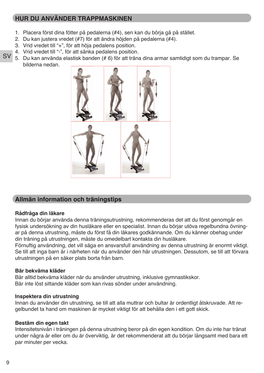## **HUR DU ANVÄNDER TRAPPMASKINEN**

- 1. Placera först dina fötter på pedalerna (#4), sen kan du börja gå på stället.
- 2. Du kan justera vredet (#7) för att ändra höjden på pedalerna (#4).
- 3. Vrid vredet till "+", för att höja pedalens position.
- 4. Vrid vredet till "-", för att sänka pedalens position.
- **SV** 5. Du kan använda elastisk banden (# 6) för att träna dina armar samtidigt som du trampar. Se bilderna nedan.



## **Allmän information och träningstips**

#### **Rådfråga din läkare**

Innan du börjar använda denna träningsutrustning, rekommenderas det att du först genomgår en fysisk undersökning av din husläkare eller en specialist. Innan du börjar utöva regelbundna övningar på denna utrustning, måste du först få din läkares godkännande. Om du känner obehag under din träning på utrustningen, måste du omedelbart kontakta din husläkare.

Förnuftig användning, det vill säga en ansvarsfull användning av denna utrustning är enormt viktigt. Se till att inga barn är i närheten när du använder den här utrustningen. Dessutom, se till att förvara utrustningen på en säker plats borta från barn.

#### **Bär bekväma kläder**

Bär alltid bekväma kläder när du använder utrustning, inklusive gymnastikskor. Bär inte löst sittande kläder som kan rivas sönder under användning.

#### **Inspektera din utrustning**

Innan du använder din utrustning, se till att alla muttrar och bultar är ordentligt åtskruvade. Att regelbundet ta hand om maskinen är mycket viktigt för att behålla den i ett gott skick.

#### **Bestäm din egen takt**

Intensitetsnivån i träningen på denna utrustning beror på din egen kondition. Om du inte har tränat under några år eller om du är överviktig, är det rekommenderat att du börjar långsamt med bara ett par minuter per vecka.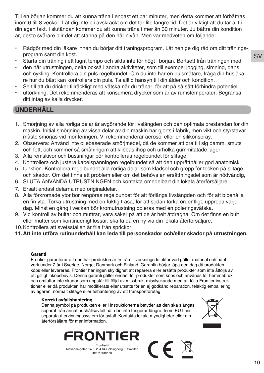Till en början kommer du att kunna träna i endast ett par minuter, men detta kommer att förbättras inom 6 till 8 veckor. Låt dig inte bli avskräckt om det tar lite längre tid. Det är viktigt att du tar allt i din egen takt. I slutändan kommer du att kunna träna i mer än 30 minuter. Ju bättre din kondition är, desto svårare blir det att stanna på den här nivån. Men var medveten om följande:

- Rådgör med din läkare innan du börjar ditt träningsprogram. Låt hen ge dig råd om ditt träningsprogram samt din kost.
- Starta din träning i ett lugnt tempo och sikta inte för högt i början. Bortsett från träningen med
- den här utrustningen, delta också i andra aktiviteter, som till exempel jogging, simning, dans och cykling. Kontrollera din puls regelbundet. Om du inte har en pulsmätare, fråga din husläkare hur du bäst kan kontrollera din puls. Ta alltid hänsyn till din ålder och kondition.
- Se till att du dricker tillräckligt med vätska när du tränar, för att på så sätt förhindra potentiell
- uttorkning. Det rekommenderas att konsumera drycker som är av rumstemperatur. Begränsa ditt intag av kalla drycker.

#### **UNDERHÅLL**

- 1. Smörjning av alla rörliga delar är avgörande för livslängden och den optimala prestandan för din maskin. Initial smörjning av vissa delar av din maskin har gjorts i fabrik, men vikt och styrstavar måste smörjas vid monteringen. Vi rekommenderar aerosol eller en silikonspray.
- 2. Observera: Använd inte oljebaserade smörjmedel, då de kommer att dra till sig damm, smuts och fett, och kommer så småningom att klibbas ihop och urholka gummitätade lager.
- 3. Alla remskivor och bussningar bör kontrolleras regelbundet för slitage.
- 4. Kontrollera och justera kabelspänningen regelbundet så att den upprätthåller god anatomisk
- 5. funktion. Kontrollera regelbundet alla rörliga delar som klädsel och grepp för tecken på slitage och skador. Om det finns ett problem eller om det behövs en ersättningsdel som är nödvändig,
- 6. SLUTA ANVÄNDA UTRUSTNINGEN och kontakta omedelbart din lokala återförsäljare.
- 7. Ersätt endast delarna med originaldelar.
- 8. Alla förkromade ytor bör rengöras regelbundet för att förlänga livslängden och för att bibehålla en fin yta. Torka utrustning med en fuktig trasa, för att sedan torka ordentligt, upprepa varje dag. Minst en gång i veckan bör kromutrustning poleras med en poleringsvätska.
- 9. Vid kontroll av bultar och muttrar, vara säker på att de är helt åtdragna. Om det finns en bult eller mutter som kontinuerligt lossar, skaffa då en ny via din lokala återförsäljare.
- 10.Kontrollera att svetsställen är fria från sprickor.
- **11.Att inte utföra rutinunderhåll kan leda till personskador och/eller skador på utrustningen.**

#### **Garanti**

Frontier garanterar att den här produkten är fri från tillverkningsdefekter vad gäller material och hantverk under 2 år i Sverige, Norge, Danmark och Finland. Garantin börjar löpa den dag då produkten köps eller levereras. Frontier har ingen skyldighet att reparera eller ersätta produkter som inte åtföljs av ett giltigt inköpsbevis. Denna garanti gäller endast för produkter som köps och används för hemmabruk och omfattar inte skador som uppstår till följd av missbruk, misslyckande med att följa Frontier instruktioner eller då produkten har modifierats eller utsatts för en ej godkänd reparation, felaktig emballering av ägaren, normalt slitage eller felhantering av ett transportföretag.

 $\epsilon$ 

#### **Korrekt avfallshantering**

Denna symbol på produkten eller i instruktionerna betyder att den ska slängas separat från annat hushållsavfall när den inte fungerar längre. Inom EU finns separata återvinningssystem för avfall. Kontakta lokala myndigheter eller din återförsäljare för mer information.





Makadamgatan 14 I 254 64 Helsingborg I Sweden info@order.se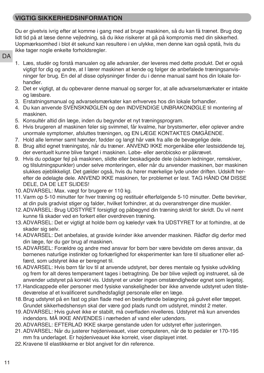## **VIGTIG SIKKERHEDSINFORMATION**

Du er givetvis ivrig efter at komme i gang med at bruge maskinen, så du kan få trænet. Brug dog lidt tid på at læse denne vejledning, så du ikke risikerer at gå på kompromis med din sikkerhed. Uopmærksomhed i blot ét sekund kan resultere i en ulykke, men denne kan også opstå, hvis du ikke tager nogle enkelte forholdsregler.

- **DA**
- 1. Læs, studér og forstå manualen og alle advarsler, der leveres med dette produkt. Det er også vigtigt for dig og andre, at I lærer maskinen at kende og følger de anbefalede træningsanvisninger før brug. En del af disse oplysninger finder du i denne manual samt hos din lokale forhandler.
- 2. Det er vigtigt, at du opbevarer denne manual og sørger for, at alle advarselsmærkater er intakte og læsbare.
- 3. Erstatningsmanual og advarselsmærkater kan erhverves hos din lokale forhandler.
- 4. Du kan anvende SVENSKNØGLEN og den INDVENDIGE UNBRAKONØGLE til montering af maskinen.
- 5. Konsultér altid din læge, inden du begynder et nyt træningsprogram.
- 6. Hvis brugeren af maskinen føler sig svimmel, får kvalme, har brystsmerter, eller oplever andre unormale symptomer, afsluttes træningen, og EN LÆGE KONTAKTES OMGÅENDE.
- 7. Hold alle lemmer samt hænder, fødder og langt hår væk fra alle de bevægelige dele.
- 8. Brug altid egnet træningstøj, når du træner. ANVEND IKKE morgenkåbe eller løstsiddende tøj, der eventuelt kunne blive fanget i maskinen. Løbe- eller aerobicsko er påkrævet.
- 9. Hvis du opdager fejl på maskinen, slidte eller beskadigede dele (såsom ledninger, remskiver, og tilslutningspunkter) under selve monteringen, eller når du anvender maskinen, bør maskinen slukkes øjeblikkeligt. Det gælder også, hvis du hører mærkelige lyde under driften. Udskift herefter de ødelagte dele. ANVEND IKKE maskinen, før problemet er løst. TAG HÅND OM DISSE DELE, DA DE LET SLIDES!
- 10.ADVARSEL: Max. vægt for brugere er 110 kg.
- 11.Varm op 5-10 minutter før hver træning og restituér efterfølgende 5-10 minutter. Dette bevirker, at din puls gradvist stiger og falder, hvilket forhindrer, at du overanstrenger dine muskler.
- 12.ADVARSEL: Brug UDSTYRET forsigtigt og påbegynd din træning skridt for skridt. Du vil nemt kunne få skader ved en forkert eller overdreven træning.
- 13.ADVARSEL: Det er vigtigt at holde børn og kæledyr væk fra UDSTYRET for at forhindre, at de skader sig selv.
- 14.ADVARSEL: Det anbefales, at gravide kvinder ikke anvender maskinen. Rådfør dig derfor med din læge, før du gør brug af maskinen.
- 15.ADVARSEL: Forældre og andre med ansvar for børn bør være bevidste om deres ansvar, da børnenes naturlige instinkter og forkærlighed for eksperimenter kan føre til situationer eller adfærd, som udstyret ikke er beregnet til.
- 16.ADVARSEL: Hvis børn får lov til at anvende udstyret, bør deres mentale og fysiske udvikling og frem for alt deres temperament tages i betragtning. De bør blive vejledt og instrueret, så de anvender udstyret på korrekt vis. Udstyret er under ingen omstændigheder egnet som legetøj.
- 17.Handicappede eller personer med fysiske vanskeligheder bør ikke anvende udstyret uden tilstedeværelse af et kvalificeret sundhedsfagligt personale eller en læge.
- 18.Brug udstyret på en fast og plan flade med en beskyttende belægning på gulvet eller tæppet. Grundet sikkerhedshensyn skal der være god plads rundt om udstyret, mindst 2 meter.
- 19.ADVARSEL: Hvis gulvet ikke er stabilt, må overfladen nivelleres. Udstyret må kun anvendes indendørs. MÅ IKKE ANVENDES i nærheden af vand eller udendørs.
- 20.ADVARSEL: EFTERLAD IKKE skarpe genstande uden for udstyret efter justeringen.
- 21.ADVARSEL: Når du justerer højdeniveauet, viser computeren, når de to pedaler er 170-195 mm fra underlaget. Er højdeniveauet ikke korrekt, viser displayet intet.
- 22.Kravene til elastikkerne er blot angivet for din reference.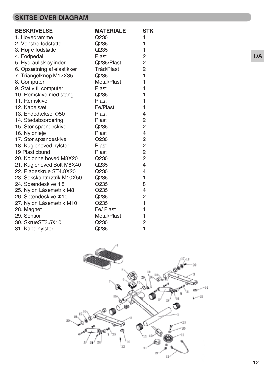## **SKITSE OVER DIAGRAM**

| <b>BESKRIVELSE</b>         | <b>MATERIALE</b> | <b>STK</b>              |
|----------------------------|------------------|-------------------------|
| 1. Hovedramme              | Q235             | 1                       |
| 2. Venstre fodstøtte       | Q235             | $\mathbf{1}$            |
| 3. Højre fodstøtte         | Q235             | $\mathbf{1}$            |
| 4. Fodpedal                | Plast            | $\overline{c}$          |
| 5. Hydraulisk cylinder     | Q235/Plast       | $\overline{c}$          |
| 6. Opsætning af elastikker | Tråd/Plast       | $\overline{2}$          |
| 7. Triangelknop M12X35     | Q235             | $\mathbf{1}$            |
| 8. Computer                | Metal/Plast      | $\mathbf{1}$            |
| 9. Stativ til computer     | Plast            | $\mathbf{1}$            |
| 10. Remskive med stang     | Q235             | $\mathbf{1}$            |
| 11. Remskive               | Plast            | $\mathbf{1}$            |
| 12. Kabelsæt               | Fe/Plast         | $\mathbf{1}$            |
| 13. Endedæksel $\Phi$ 50   | <b>Plast</b>     | $\overline{4}$          |
| 14. Stødabsorbering        | <b>Plast</b>     | $\overline{\mathbf{c}}$ |
| 15. Stor spændeskive       | Q235             | $\overline{2}$          |
| 16. Nylonleje              | Plast            | $\overline{4}$          |
| 17. Stor spændeskive       | Q235             | $\overline{c}$          |
| 18. Kuglehoved hylster     | <b>Plast</b>     | $\overline{c}$          |
| 19 Plasticbund             | Plast            | $\overline{c}$          |
| 20. Kolonne hoved M8X20    | Q235             | $\overline{2}$          |
| 21. Kuglehoved Bolt M8X40  | Q235             | $\overline{4}$          |
| 22. Pladeskrue ST4.8X20    | Q235             | $\overline{4}$          |
| 23. Sekskantmøtrik M10X50  | Q235             | $\mathbf{1}$            |
| 24. Spændeskive 08         | Q235             | 8                       |
| 25. Nylon Låsemøtrik M8    | Q235             | $\overline{4}$          |
| 26. Spændeskive 010        | Q235             | $\overline{c}$          |
| 27. Nylon Låsemøtrik M10   | Q235             | $\mathbf{1}$            |
| 28. Magnet                 | Fe/ Plast        | $\mathbf{1}$            |
| 29. Sensor                 | Metal/Plast      | $\mathbf{1}$            |
| 30. SkrueST3.5X10          | Q235             | $\overline{c}$          |
| 31. Kabelhylster           | Q235             | 1                       |



DA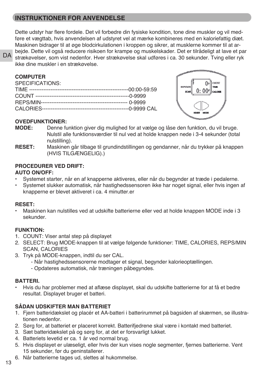## **INSTRUKTIONER FOR ANVENDELSE**

Dette udstyr har flere fordele. Det vil forbedre din fysiske kondition, tone dine muskler og vil medføre et vægttab, hvis anvendelsen af udstyret vel at mærke kombineres med en kaloriefattig diæt. Maskinen bidrager til at øge blodcirkulationen i kroppen og sikrer, at musklerne kommer til at arbejde. Dette vil også reducere risikoen for krampe og muskelskader. Det er tilrådeligt at lave et par strækøvelser, som vist nedenfor. Hver strækøvelse skal udføres i ca. 30 sekunder. Tving eller ryk ikke dine muskler i en strækøvelse.

**DA** 

| ________        |  |
|-----------------|--|
| SPECIFICATIONS: |  |
|                 |  |
|                 |  |
|                 |  |
|                 |  |
|                 |  |



#### **OVEDFUNKTIONER:**

- **MODE:** Denne funktion giver dig mulighed for at vælge og låse den funktion, du vil bruge. Nulstil alle funktionsværdier til nul ved at holde knappen nede i 3-4 sekunder (total nulstilling).
- **RESET:** Maskinen går tilbage til grundindstillingen og gendanner, når du trykker på knappen (HVIS TILGÆNGELIG).)

#### **PROCEDURER VED DRIFT:**

#### **AUTO ON/OFF:**

- Systemet starter, når en af knapperne aktiveres, eller når du begynder at træde i pedalerne.
- Systemet slukker automatisk, når hastighedssensoren ikke har noget signal, eller hvis ingen af knapperne er blevet aktiveret i ca. 4 minutter.er

#### **RESET:**

• Maskinen kan nulstilles ved at udskifte batterierne eller ved at holde knappen MODE inde i 3 sekunder.

#### **FUNKTION:**

- 1. COUNT: Viser antal step på displayet
- 2. SELECT: Brug MODE-knappen til at vælge følgende funktioner: TIME, CALORIES, REPS/MIN SCAN, CALORIES
- 3. Tryk på MODE-knappen, indtil du ser CAL.
	- Når hastighedssensorerne modtager et signal, begynder kalorieoptællingen.
	- Opdateres automatisk, når træningen påbegyndes.

#### **BATTERI.**

• Hvis du har problemer med at aflæse displayet, skal du udskifte batterierne for at få et bedre resultat. Displayet bruger et batteri.

#### **SÅDAN UDSKIFTER MAN BATTERIET**

- 1. Fjern batteridækslet og placér et AA-batteri i batterirummet på bagsiden af skærmen, se illustrationen nedenfor.
- 2. Sørg for, at batteriet er placeret korrekt. Batterifjedrene skal være i kontakt med batteriet.
- 3. Sæt batteridækslet på og sørg for, at det er forsvarligt lukket.
- 4. Batteriets levetid er ca. 1 år ved normal brug.
- 5. Hvis displayet er ulæseligt, eller hvis der kun vises nogle segmenter, fjernes batterierne. Vent 15 sekunder, før du geninstallerer.
- 6. Når batterierne tages ud, slettes al hukommelse.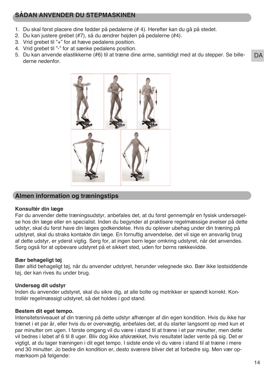## **SÅDAN ANVENDER DU STEPMASKINEN**

- 1. Du skal først placere dine fødder på pedalerne (# 4). Herefter kan du gå på stedet.
- 2. Du kan justere grebet (#7), så du ændrer højden på pedalerne (#4).
- 3. Vrid grebet til "+" for at hæve pedalens position.
- 4. Vrid grebet til "-" for at sænke pedalens position.
- **DA** 5. Du kan anvende elastikkerne (#6) til at træne dine arme, samtidigt med at du stepper. Se billederne nedenfor.



#### **Almen information og træningstips**

#### **Konsultér din læge**

Før du anvender dette træningsudstyr, anbefales det, at du først gennemgår en fysisk undersøgelse hos din læge eller en specialist. Inden du begynder at praktisere regelmæssige øvelser på dette udstyr, skal du først have din læges godkendelse. Hvis du oplever ubehag under din træning på udstyret, skal du straks kontakte din læge. En fornuftig anvendelse, det vil sige en ansvarlig brug af dette udstyr, er yderst vigtig. Sørg for, at ingen børn leger omkring udstyret, når det anvendes. Sørg også for at opbevare udstyret på et sikkert sted, uden for børns rækkevidde.

#### **Bær behageligt tøj**

Bær altid behageligt tøj, når du anvender udstyret, herunder velegnede sko. Bær ikke løstsiddende tøj, der kan rives itu under brug.

#### **Undersøg dit udstyr**

Inden du anvender udstyret, skal du sikre dig, at alle bolte og møtrikker er spændt korrekt. Kontrollér regelmæssigt udstyret, så det holdes i god stand.

#### **Bestem dit eget tempo.**

Intensitetsniveauet af din træning på dette udstyr afhænger af din egen kondition. Hvis du ikke har trænet i et par år, eller hvis du er overvægtig, anbefales det, at du starter langsomt op med kun et par minutter om ugen. I første omgang vil du være i stand til at træne i et par minutter, men dette vil bedres i løbet af 6 til 8 uger. Bliv dog ikke afskrækket, hvis resultatet lader vente på sig. Det er vigtigt, at du tager træningen i dit eget tempo. I sidste ende vil du være i stand til at træne i mere end 30 minutter. Jo bedre din kondition er, desto sværere bliver det at forbedre sig. Men vær opmærksom på følgende: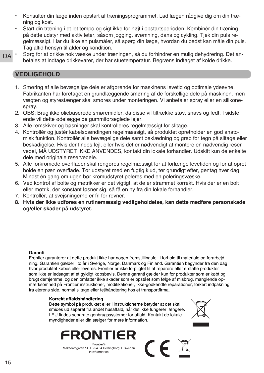- Konsultér din læge inden opstart af træningsprogrammet. Lad lægen rådgive dig om din træning og kost.
- Start din træning i et let tempo og sigt ikke for højt i opstartsperioden. Kombinér din træning på dette udstyr med aktiviteter, såsom jogging, svømning, dans og cykling. Tjek din puls regelmæssigt. Har du ikke en pulsmåler, så spørg din læge, hvordan du bedst kan måle din puls. Tag altid hensyn til alder og kondition.
- D<sub>A</sub> • Sørg for at drikke nok væske under træningen, så du forhindrer en mulig dehydrering. Det anbefales at indtage drikkevarer, der har stuetemperatur. Begræns indtaget af kolde drikke.

#### **VEDLIGEHOLD**

- 1. Smøring af alle bevægelige dele er afgørende for maskinens levetid og optimale ydeevne. Fabrikanten har foretaget en grundlæggende smøring af de forskellige dele på maskinen, men vægten og styrestænger skal smøres under monteringen. Vi anbefaler spray eller en silikonespray.
- 2. OBS: Brug ikke oliebaserede smøremidler, da disse vil tiltrække støv, snavs og fedt. I sidste ende vil dette ødelægge de gummiforseglede lejer.
- 3. Alle remskiver og bøsninger skal kontrolleres regelmæssigt for slitage.
- 4. Kontrollér og justér kabelspændingen regelmæssigt, så produktet opretholder en god anatomisk funktion. Kontrollér alle bevægelige dele samt beklædning og greb for tegn på slitage eller beskadigelse. Hvis der findes fejl, eller hvis det er nødvendigt at montere en nødvendig reservedel, MÅ UDSTYRET IKKE ANVENDES, kontakt din lokale forhandler. Udskift kun de enkelte dele med originale reservedele.
- 5. Alle forkromede overflader skal rengøres regelmæssigt for at forlænge levetiden og for at opretholde en pæn overflade. Tør udstyret med en fugtig klud, tør grundigt efter, gentag hver dag. Mindst én gang om ugen bør kromudstyret poleres med en poleringsvæske.
- 6. Ved kontrol af bolte og møtrikker er det vigtigt, at de er strammet korrekt. Hvis der er en bolt eller møtrik, der konstant løsner sig, så få en ny fra din lokale forhandler.
- 7. Kontrollér, at svejsningerne er fri for revner.
- **8. Hvis der ikke udføres en rutinemæssig vedligeholdelse, kan dette medføre personskade og/eller skader på udstyret.**

#### **Garanti**

Frontier garanterer at dette produkt ikke har nogen fremstillingsfejl i forhold til materiale og forarbejdning. Garantien gælder i to år i Sverige, Norge, Danmark og Finland. Garantien begynder fra den dag hvor produktet købes eller leveres. Frontier er ikke forpligtet til at reparere eller erstatte produkter som ikke er ledsaget af et gyldigt købsbevis. Denne garanti gælder kun for produkter som er købt og brugt derhjemme, og den omfatter ikke skader som er opstået som følge af misbrug, manglende opmærksomhed på Frontier instruktioner, modifikationer, ikke-godkendte reparationer, forkert indpakning fra ejerens side, normal slitage eller fejlhåndtering hos et transportfirma.

 $\epsilon$ 

#### **Korrekt affaldshåndtering**

Dette symbol på produktet eller i instruktionerne betyder at det skal smides ud separat fra andet husaffald, når det ikke fungerer længere. I EU findes separate genbrugssystemer for affald. Kontakt de lokale myndigheder eller din sælger for mere information.





Makadamgatan 14 I 254 64 Helsingborg I Sweden info@order.se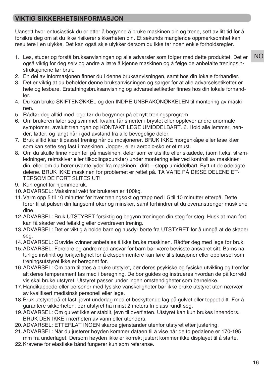## **VIKTIG SIKKERHETSINFORMASJON**

Uansett hvor entusiastisk du er etter å begynne å bruke maskinen din og trene, sett av litt tid for å forsikre deg om at du ikke risikerer sikkerheten din. Et sekunds manglende oppmerksomhet kan resultere i en ulykke. Det kan også skje ulykker dersom du ikke tar noen enkle forholdsregler.

- 1. Les, studer og forstå bruksanvisningen og alle advarsler som følger med dette produktet. Det er også viktig for deg selv og andre å lære å kjenne maskinen og å følge de anbefalte treningsinstruksjonene før bruk.
- 2. En del av informasjonen finner du i denne bruksanvisningen, samt hos din lokale forhandler.
- 3. Det er viktig at du beholder denne bruksanvisningen og sørger for at alle advarselsetiketter er hele og lesbare. Erstatningsbruksanvisning og advarselsetiketter finnes hos din lokale forhandler.
- 4. Du kan bruke SKIFTENØKKEL og den INDRE UNBRAKONØKKELEN til montering av maskinen.
- 5. Rådfør deg alltid med lege før du begynner på et nytt treningsprogram.
- 6. Om brukeren føler seg svimmel, kvalm, får smerter i brystet eller opplever andre unormale symptomer, avslutt treningen og KONTAKT LEGE UMIDDELBART. 6. Hold alle lemmer, hender, føtter, og langt hår i god avstand fra alle bevegelige deler.
- 7. Bruk alltid klær tilpasset trening når du mosjonerer. BRUK IKKE morgenkåpe eller løse klær som kan sette seg fast i maskinen. Jogge-, eller aerobic-sko er et must.
- 8. Om du skulle finne noen feil på maskinen, deler som er utslitte eller skadede, (som f.eks. strømledninger, reimskiver eller tilkoblingspunkter) under montering eller ved kontroll av maskinen din, eller om du hører uvante lyder fra maskinen i drift – stopp umiddelbart. Bytt ut de ødelagte delene. BRUK IKKE maskinen før problemet er rettet på. TA VARE PÅ DISSE DELENE ET-TERSOM DE FORT SLITES UT!
- 9. Kun egnet for hjemmebruk.
- 10.ADVARSEL: Maksimal vekt for brukeren er 100kg.
- 11.Varm opp 5 til 10 minutter før hver treningsøkt og trapp ned i 5 til 10 minutter etterpå. Dette fører til at pulsen din langsomt øker og minsker, samt forhindrer at du overanstrenger musklene dine.
- 12.ADVARSEL: Bruk UTSTYRET forsiktig og begynn treningen din steg for steg. Husk at man fort kan få skader ved feilaktig eller overdreven trening.
- 13.ADVARSEL: Det er viktig å holde barn og husdyr borte fra UTSTYRET for å unngå at de skader seg.
- 14.ADVARSEL: Gravide kvinner anbefales å ikke bruke maskinen. Rådfør deg med lege før bruk.
- 15.ADVARSEL: Foreldre og andre med ansvar for barn bør være bevisste ansvaret sitt. Barns naturlige instinkt og forkjærlighet for å eksperimentere kan føre til situasjoner eller oppførsel som treningsutstyret ikke er beregnet for.
- 16.ADVARSEL: Om barn tillates å bruke utstyret, bør deres psykiske og fysiske utvikling og fremfor alt deres temperament tas med i beregning. De bør guides og instrueres hvordan de på korrekt vis skal bruke utstyret. Utstyret passer under ingen omstendigheter som barneleke.
- 17.Handikappede eller personer med fysiske vanskeligheter bør ikke bruke utstyret uten nærvær av kvalifisert medisinsk personell eller lege.
- 18.Bruk utstyret på et fast, jevnt underlag med et beskyttende lag på gulvet eller teppet ditt. For å garantere sikkerheten, bør utstyret ha minst 2 meters fri plass rundt seg.
- 19.ADVARSEL: Om gulvet ikke er stabilt, jevn til overflaten. Utstyret kan kun brukes innendørs. BRUK DEN IKKE i nærheten av vann eller utendørs.
- 20.ADVARSEL: ETTERLAT INGEN skarpe gjenstander utenfor utstyret etter justering.
- 21.ADVARSEL: Når du justerer høyden kommer dataen til å vise når de to pedalene er 170-195 mm fra underlaget. Dersom høyden ikke er korrekt justert kommer ikke displayet til å starte.
- 22.Kravene for elastiske bånd fungerer kun som referanse.

NO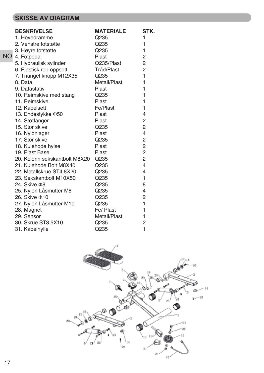## **SKISSE AV DIAGRAM**

|           | <b>BESKRIVELSE</b>            | <b>MATERIALE</b> | STK.                     |
|-----------|-------------------------------|------------------|--------------------------|
|           | 1. Hovedramme                 | Q235             | 1                        |
|           | 2. Venstre fotstøtte          | Q235             | 1                        |
|           | 3. Høyre fotstøtte            | Q235             | 1                        |
| <b>NO</b> | 4. Fotpedal                   | Plast            | $\overline{c}$           |
|           | 5. Hydraulisk sylinder        | Q235/Plast       | $\overline{c}$           |
|           | 6. Elastisk rep oppsett       | Tråd/Plast       | $\overline{2}$           |
|           | 7. Triangel knopp M12X35      | Q235             | $\mathbf{1}$             |
|           | 8. Data                       | Metall/Plast     | $\mathbf{1}$             |
|           | 9. Datastativ                 | <b>Plast</b>     | 1                        |
|           | 10. Reimskive med stang       | Q235             | 1                        |
|           | 11. Reimskive                 | <b>Plast</b>     | 1                        |
|           | 12. Kabelsett                 | Fe/Plast         | 1                        |
|           | 13. Endestykke ¢50            | <b>Plast</b>     | $\overline{4}$           |
|           | 14. Støtfanger                | <b>Plast</b>     | $\overline{c}$           |
|           | 15. Stor skive                | Q235             | $\overline{2}$           |
|           | 16. Nylonlager                | <b>Plast</b>     | $\overline{4}$           |
|           | 17. Stor skive                | Q235             | $\overline{c}$           |
|           | 18. Kulehode hylse            | <b>Plast</b>     | $\overline{c}$           |
|           | 19. Plast Base                | <b>Plast</b>     | $\overline{c}$           |
|           | 20. Kolonn sekskantbolt M8X20 | Q235             | $\overline{2}$           |
|           | 21. Kulehode Bolt M8X40       | Q235             | $\overline{\mathcal{A}}$ |
|           | 22. Metallskrue ST4.8X20      | Q235             | $\overline{4}$           |
|           | 23. Sekskantbolt M10X50       | Q235             | $\mathbf{1}$             |
|           | 24. Skive <b>Φ8</b>           | Q235             | 8                        |
|           | 25. Nylon Låsmutter M8        | Q235             | $\overline{4}$           |
|           | 26. Skive $\Phi$ 10           | Q235             | $\overline{2}$           |
|           | 27. Nylon Låsmutter M10       | Q235             | 1                        |
|           | 28. Magnet                    | Fe/ Plast        | 1                        |
|           | 29. Sensor                    | Metall/Plast     | 1                        |
|           | 30. Skrue ST3.5X10            | Q235             | $\overline{2}$           |
|           | 31. Kabelhylle                | Q235             | 1                        |

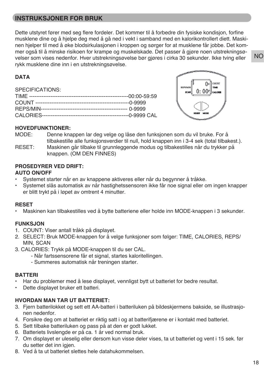## **INSTRUKSJONER FOR BRUK**

Dette utstyret fører med seg flere fordeler. Det kommer til å forbedre din fysiske kondisjon, forfine musklene dine og å hjelpe deg med å gå ned i vekt i samband med en kalorikontrollert diett. Maskinen hjelper til med å øke blodsirkulasjonen i kroppen og sørger for at musklene får jobbe. Det kommer også til å minske risikoen for krampe og muskelskade. Det passer å gjøre noen utstrekningsøvelser som vises nedenfor. Hver utstrekningsøvelse bør gjøres i cirka 30 sekunder. Ikke tving eller rykk musklene dine inn i en utstrekningsøvelse.

#### **DATA**

SPECIFICATIONS:



#### **HOVEDFUNKTIONER:**

MODE: Denne knappen lar deg velge og låse den funksjonen som du vil bruke. For å tilbakestille alle funksjonsverdier til null, hold knappen inn i 3-4 sek (total tilbakest.).

RESET: Maskinen går tilbake til grunnleggende modus og tilbakestilles når du trykker på knappen. (OM DEN FINNES)

## **PROSEDYRER VED DRIFT:**

#### **AUTO ON/OFF**

- Systemet starter når en av knappene aktiveres eller når du begynner å tråkke.
- Systemet slås automatisk av når hastighetssensoren ikke får noe signal eller om ingen knapper er blitt trykt på i løpet av omtrent 4 minutter.

#### **RESET**

• Maskinen kan tilbakestilles ved å bytte batteriene eller holde inn MODE-knappen i 3 sekunder.

#### **FUNKSJON**

- 1. COUNT: Viser antall tråkk på displayet.
- 2. SELECT: Bruk MODE-knappen for å velge funksjoner som følger: TIME, CALORIES, REPS/ MIN, SCAN
- 3. CALORIES: Trykk på MODE-knappen til du ser CAL.
	- Når fartssensorene får et signal, startes kaloritellingen.
	- Summeres automatisk når treningen starter.

#### **BATTERI**

- Har du problemer med å lese displayet, vennligst bytt ut batteriet for bedre resultat.
- Dette displayet bruker ett batteri.

#### **HVORDAN MAN TAR UT BATTERIET:**

- 3. Fjern batterilokket og sett ett AA-batteri i batteriluken på bildeskjermens bakside, se illustrasjonen nedenfor.
- 4. Forsikre deg om at batteriet er riktig satt i og at batterifjærene er i kontakt med batteriet.
- 5. Sett tilbake batteriluken og pass på at den er godt lukket.
- 6. Batteriets livslengde er på ca. 1 år ved normal bruk.
- 7. Om displayet er uleselig eller dersom kun visse deler vises, ta ut batteriet og vent i 15 sek. før du setter det inn igjen.
- 8. Ved å ta ut batteriet slettes hele datahukommelsen.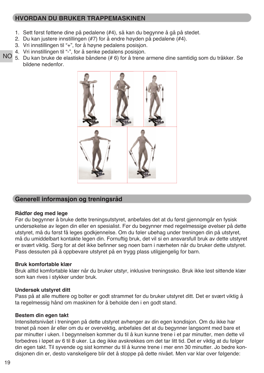## **HVORDAN DU BRUKER TRAPPEMASKINEN**

- 1. Sett først føttene dine på pedalene (#4), så kan du begynne å gå på stedet.
- 2. Du kan justere innstillingen (#7) for å endre høyden på pedalene (#4).
- 3. Vri innstillingen til "+", for å høyne pedalens posisjon.
- 4. Vri innstillingen til "-", for å senke pedalens posisjon.
- NO 5. Du kan bruke de elastiske båndene (# 6) for å trene armene dine samtidig som du tråkker. Se bildene nedenfor.



## **Generell informasjon og treningsråd**

#### **Rådfør deg med lege**

Før du begynner å bruke dette treningsutstyret, anbefales det at du først gjennomgår en fysisk undersøkelse av legen din eller en spesialist. Før du begynner med regelmessige øvelser på dette utstyret, må du først få leges godkjennelse. Om du føler ubehag under treningen din på utstyret, må du umiddelbart kontakte legen din. Fornuftig bruk, det vil si en ansvarsfull bruk av dette utstyret er svært viktig. Sørg for at det ikke befinner seg noen barn i nærheten når du bruker dette utstyret. Pass dessuten på å oppbevare utstyret på en trygg plass utilgjengelig for barn.

#### **Bruk komfortable klær**

Bruk alltid komfortable klær når du bruker utstyr, inklusive treningssko. Bruk ikke løst sittende klær som kan rives i stykker under bruk.

#### **Undersøk utstyret ditt**

Pass på at alle muttere og bolter er godt strammet før du bruker utstyret ditt. Det er svært viktig å ta regelmessig hånd om maskinen for å beholde den i en godt stand.

#### **Bestem din egen takt**

Intensitetsnivået i treningen på dette utstyret avhenger av din egen kondisjon. Om du ikke har trenet på noen år eller om du er overvektig, anbefales det at du begynner langsomt med bare et par minutter i uken. I begynnelsen kommer du til å kun kunne trene i et par minutter, men dette vil forbedres i løpet av 6 til 8 uker. La deg ikke avskrekkes om det tar litt tid. Det er viktig at du følger din egen takt. Til syvende og sist kommer du til å kunne trene i mer enn 30 minutter. Jo bedre kondisjonen din er, desto vanskeligere blir det å stoppe på dette nivået. Men var klar over følgende: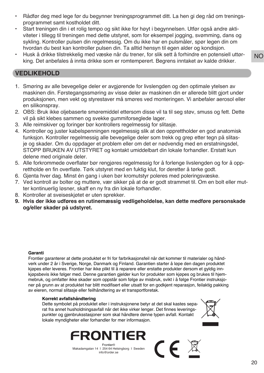- Rådfør deg med lege før du begynner treningsprogrammet ditt. La hen gi deg råd om treningsprogrammet samt kostholdet ditt.
- Start treningen din i et rolig tempo og sikt ikke for høyt i begynnelsen. Utfør også andre aktiviteter i tillegg til treningen med dette utstyret, som for eksempel jogging, svømming, dans og sykling. Kontroller pulsen din regelmessig. Om du ikke har en pulsmåler, spør legen din om hvordan du best kan kontroller pulsen din. Ta alltid hensyn til egen alder og kondisjon.
- Husk å drikke tilstrekkelig med væske når du trener, for slik sett å forhindre en potensiell uttørking. Det anbefales å innta drikke som er romtemperert. Begrens inntaket av kalde drikker.

#### **VEDLIKEHOLD**

- 1. Smøring av alle bevegelige deler er avgjørende for livslengden og den optimale ytelsen av maskinen din. Førstegangssmøring av visse deler av maskinen din er allerede blitt gjort under produksjonen, men vekt og styrestaver må smøres ved monteringen. Vi anbefaler aerosol eller en silikonspray.
- 2. OBS: Bruk ikke oljebaserte smøremiddel ettersom disse vil ta til seg støv, smuss og fett. Dette vil på sikt klebes sammen og svekke gummiforseglede lager.
- 3. Alle reimskiver og foringer bør kontrollers regelmessig for slitasje.
- 4. Kontroller og juster kabelspenningen regelmessig slik at den opprettholder en god anatomisk funksjon. Kontroller regelmessig alle bevegelige deler som trekk og grep etter tegn på slitasje og skader. Om du oppdager et problem eller om det er nødvendig med en erstatningsdel, STOPP BRUKEN AV UTSTYRET og kontakt umiddelbart din lokale forhandler. Erstatt kun delene med originale deler.
- 5. Alle forkrommede overflater bør rengjøres regelmessig for å forlenge livslengden og for å opprettholde en fin overflate. Tørk utstyret med en fuktig klut, for deretter å tørke godt.
- 6. Gjenta hver dag. Minst én gang i uken bør kromutstyr poleres med poleringsvæske.
- 7. Ved kontroll av bolter og muttere, vær sikker på at de er godt strammet til. Om en bolt eller mutter kontinuerlig løsner, skaff en ny fra din lokale forhandler.
- 8. Kontroller at sveiseskjøtet er uten sprekker.
- **9. Hvis der ikke udføres en rutinemæssig vedligeholdelse, kan dette medføre personskade og/eller skader på udstyret.**

#### **Garanti**

Frontier garanterer at dette produktet er fri for farbrikasjonsfeil når det kommer til materialer og håndverk under 2 år i Sverige, Norge, Danmark og Finland. Garantien starter å løpe den dagen produktet kjøpes eller leveres. Frontier har ikke plikt til å reparere eller erstatte produkter dersom et gyldig innkjøpsbevis ikke følger med. Denne garantien gjelder kun for produkter som kjøpes og brukes til hjemmebruk, og omfatter ikke skader som oppstår som følge av misbruk, svikt i å følge Frontier instruksjoner på grunn av at produktet har blitt modifisert eller utsatt for en godkjent reparasjon, feilaktig pakking av eieren, normal slitasje eller feilhåndtering av et transportforetak.

#### **Korrekt avfallshåndtering**

Dette symbolet på produktet eller i instruksjonene betyr at det skal kastes separat fra annet husholdningsavfall når det ikke virker lenger. Det finnes leveringspunkter og gjenbruksstasjoner som skal håndtere denne typen avfall. Kontakt lokale myndigheter eller forhandler for mer informasjon.



 $\epsilon$ 

Frontier® Makadamgatan 14 I 254 64 Helsingborg I Sweden info@order.se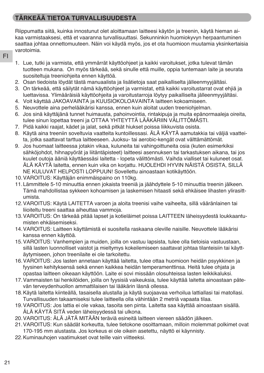## **TÄRKEÄÄ TIETOA TURVALLISUUDESTA**

Riippumatta siitä, kuinka innostunut olet aloittamaan laitteesi käytön ja treenin, käytä hieman aikaa varmistaaksesi, että et vaaranna turvallisuuttasi. Sekunninkin huomiokyvyn herpaantuminen saattaa johtaa onnettomuuteen. Näin voi käydä myös, jos et ota huomioon muutamia yksinkertaisia varotoimia.

- FI
- 1. Lue, tutki ja varmista, että ymmärrät käyttöohjeet ja kaikki varoitukset, jotka tulevat tämän tuotteen mukana. On myös tärkeää, sekä sinulle että muille, oppia tuntemaan laite ja seurata suositeltuja treeniohjeita ennen käyttöä.
- 2. Osan tiedoista löydät tästä manuaalista ja lisätietoja saat paikalliselta jälleenmyyjältäsi.
- 3. On tärkeää, että säilytät nämä käyttöohjeet ja varmistat, että kaikki varoitustarrat ovat ehjiä ja luettavissa. Ylimääräisiä käyttöohjeita ja varoitustarroja löytyy paikalliselta jälleenmyyjältäsi.
- 4. Voit käyttää JAKOAVAINTA ja KUUSIOKOLOAVAINTA laitteen kokoamiseen.
- 5. Neuvottele aina perhelääkärisi kanssa, ennen kuin aloitat uuden treeniohjelman.
- 6. Jos sinä käyttäjänä tunnet huimausta, pahoinvointia, rintakipuja ja muita epänormaaleja oireita, tulee sinun lopettaa treeni ja OTTAA YHTEYTTÄ LÄÄKÄRIIN VÄLITTÖMÄSTI.
- 7. Pidä kaikki raajat, kädet ja jalat, sekä pitkät hiukset poissa liikkuvista osista.
- 8. Käytä aina treeniin soveltuvia vaatteita kuntoillessasi. ÄLÄ KÄYTÄ aamutakkia tai väljiä vaatteita, jotka saattavat tarttua laitteeseen. Juoksu- tai aerobic-kengät ovat välttämättömät.
- 9. Jos huomaat laitteessa jotakin vikaa, kuluneita tai vahingoittuneita osia (kuten esimerkiksi sähköjohdot, hihnapyörät ja liitäntäpisteet) laitteesi asennuksen tai tarkastuksen aikana, tai jos kuulet outoja ääniä käyttäessäsi laitetta - lopeta välittömästi. Vaihda vialliset tai kuluneet osat. ÄLÄ KÄYTÄ laitetta, ennen kuin vika on korjattu. HUOLEHDI HYVIN NÄISTÄ OSISTA, SILLÄ NE KULUVAT HELPOSTI LOPPUUN! Sovellettu ainoastaan kotikäyttöön.
- 10.VAROITUS: Käyttäjän enimmäispaino on 110kg.
- 11.Lämmittele 5-10 minuuttia ennen jokaista treeniä ja jäähdyttele 5-10 minuuttia treenin jälkeen. Tämä mahdollistaa sykkeen kohoamisen ja laskemisen hitaasti sekä ehkäisee lihasten ylirasittumista.
- 12.VAROITUS: Käytä LAITETTA varoen ja aloita treenisi vaihe vaiheelta, sillä vääränlainen tai liioiteltu treeni saattaa aiheuttaa vammoja.
- 13.VAROITUS: On tärkeää pitää lapset ja kotieläimet poissa LAITTEEN läheisyydestä loukkaantumisten ehkäisemiseksi.
- 14.VAROITUS: Laitteen käyttämistä ei suositella raskaana oleville naisille. Neuvottele lääkärisi kanssa ennen käyttöä.
- 15.VAROITUS: Vanhempien ja muiden, joilla on vastuu lapsista, tulee olla tietoisia vastuustaan, sillä lasten luonnolliset vaistot ja mieltymys kokeilemiseen saattavat johtaa tilanteisiin tai käyttäytymiseen, johon treenilaite ei ole tarkoitettu.
- 16.VAROITUS: Jos lasten annetaan käyttää laitetta, tulee ottaa huomioon heidän psyykkinen ja fyysinen kehityksensä sekä ennen kaikkea heidän temperamenttinsa. Heitä tulee ohjata ja opastaa laitteen oikeaan käyttöön. Laite ei sovi missään olosuhteissa lasten leikkikaluksi.
- 17.Vammaisten tai henkilöiden, joilla on fyysisiä vaikeuksia, tulee käyttää laitetta ainoastaan pätevän terveydenhuollon ammattilaisen tai lääkärin läsnä ollessa.
- 18.Käytä laitetta kiinteällä, tasaisella alustalla ja käytä suojaavaa verhoilua lattiallasi tai matollasi. Turvallisuuden takaamiseksi tulee laitteella olla vähintään 2 metriä vapaata tilaa.
- 19.VAROITUS: Jos lattia ei ole vakaa, tasoita sen pinta. Laitetta saa käyttää ainoastaan sisällä. ÄLÄ KÄYTÄ SITÄ veden läheisyydessä tai ulkona.
- 20.VAROITUS: ÄLÄ JÄTÄ MITÄÄN teräviä esineitä laitteen viereen säädön jälkeen.
- 21.VAROITUS: Kun säädät korkeutta, tulee tietokone osoittamaan, milloin molemmat polkimet ovat 170-195 mm alustasta. Jos korkeus ei ole oikein asetettu, näyttö ei käynnisty.
- 22.Kuminauhojen vaatimukset ovat teille vain viitteeksi.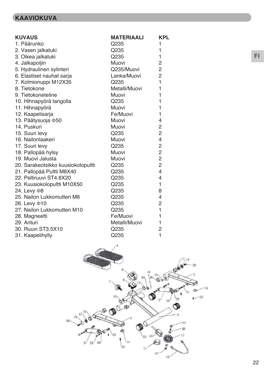## **KAAVIOKUVA**

| <b>KUVAUS</b>                      | <b>MATERIAALI</b> | <b>KPL</b>     |
|------------------------------------|-------------------|----------------|
| 1. Päärunko                        | Q235              | 1              |
| 2. Vasen jalkatuki                 | Q235              | $\mathbf{1}$   |
| 3. Oikea jalkatuki                 | Q235              | 1              |
| 4. Jalkapoljin                     | Muovi             | $\overline{2}$ |
| 5. Hydraulinen sylinteri           | Q235/Muovi        | $\overline{c}$ |
| 6. Elastiset nauhat sarja          | Lanka/Muovi       | $\overline{2}$ |
| 7. Kolmionuppi M12X35              | Q235              | $\mathbf{1}$   |
| 8. Tietokone                       | Metalli/Muovi     | 1              |
| 9. Tietokoneteline                 | Muovi             | 1              |
| 10. Hihnapyörä tangolla            | Q235              | 1              |
| 11. Hihnapyörä                     | Muovi             | 1              |
| 12. Kaapelisarja                   | Fe/Muovi          | $\mathbf{1}$   |
| 13. Päätysuoja 450                 | Muovi             | $\overline{4}$ |
| 14. Puskuri                        | Muovi             | $\overline{c}$ |
| 15. Suuri levy                     | Q235              | $\overline{2}$ |
| 16. Nailonlaakeri                  | Muovi             | 4              |
| 17. Suuri levy                     | Q235              | $\overline{c}$ |
| 18. Pallopää hylsy                 | Muovi             | $\overline{2}$ |
| 19. Muovi Jalusta                  | Muovi             | $\overline{c}$ |
| 20. Sarakeotsikko kuusiokolopultti | Q235              | $\overline{2}$ |
| 21. Pallopää Pultti M8X40          | Q235              | $\overline{4}$ |
| 22. Peltiruuvi ST4.8X20            | Q235              | $\overline{4}$ |
| 23. Kuusiokolopultti M10X50        | Q235              | $\mathbf{1}$   |
| 24. Levy $\Phi$ 8                  | Q235              | 8              |
| 25. Nailon Lukkomutteri M8         | Q235              | $\overline{4}$ |
| 26. Levy $\Phi$ 10                 | Q235              | $\overline{2}$ |
| 27. Nailon Lukkomutteri M10        | Q235              | 1              |
| 28. Magneetti                      | Fe/Muovi          | 1              |
| 29. Anturi                         | Metalli/Muovi     | 1              |
| 30. Ruuvi ST3.5X10                 | Q235              | $\overline{2}$ |
| 31. Kaapelihylly                   | Q235              | $\mathbf{1}$   |



FI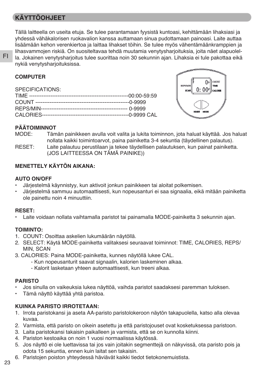## **KÄYTTÖOHJEET**

Tällä laitteella on useita etuja. Se tulee parantamaan fyysistä kuntoasi, kehittämään lihaksiasi ja yhdessä vähäkalorisen ruokavalion kanssa auttamaan sinua pudottamaan painoasi. Laite auttaa lisäämään kehon verenkiertoa ja laittaa lihakset töihin. Se tulee myös vähentämäänkramppien ja lihasvammojen riskiä. On suositeltavaa tehdä muutamia venytysharjoituksia, joita näet alapuolella. Jokainen venytysharjoitus tulee suorittaa noin 30 sekunnin ajan. Lihaksia ei tule pakottaa eikä nykiä venytysharjoituksissa.

| SPECIFICATIONS: |  |
|-----------------|--|
|                 |  |
|                 |  |
|                 |  |
|                 |  |



#### **PÄÄTOIMINNOT**

- MODE: Tämän painikkeen avulla voit valita ja lukita toiminnon, jota haluat käyttää. Jos haluat nollata kaikki toimintoarvot, paina painiketta 3-4 sekuntia (täydellinen palautus).
- RESET: Laite palautuu perustilaan ja tekee täydellisen palautuksen, kun painat painiketta. (JOS LAITTEESSA ON TÄMÄ PAINIKE))

#### **MENETTELY KÄYTÖN AIKANA:**

#### **AUTO ON/OFF**

- Järjestelmä käynnistyy, kun aktivoit jonkun painikkeen tai aloitat polkemisen.
- Järjestelmä sammuu automaattisesti, kun nopeusanturi ei saa signaalia, eikä mitään painiketta ole painettu noin 4 minuuttiin.

#### **RESET:**

• Laite voidaan nollata vaihtamalla paristot tai painamalla MODE-painiketta 3 sekunnin ajan.

#### **TOIMINTO:**

- 1. COUNT: Osoittaa askelien lukumäärän näytöllä.
- 2. SELECT: Käytä MODE-painiketta valitaksesi seuraavat toiminnot: TIME, CALORIES, REPS/ MIN, SCAN
- 3. CALORIES: Paina MODE-painiketta, kunnes näytöllä lukee CAL.
	- Kun nopeusanturit saavat signaalin, kalorien laskeminen alkaa.
		- Kalorit lasketaan yhteen automaattisesti, kun treeni alkaa.

#### **PARISTO**

- Jos sinulla on vaikeuksia lukea näyttöä, vaihda paristot saadaksesi paremman tuloksen.
- Tämä näyttö käyttää yhtä paristoa.

#### **KUINKA PARISTO IRROTETAAN:**

- 1. Irrota paristokansi ja aseta AA-paristo paristolokeroon näytön takapuolella, katso alla olevaa kuvaa.
- 2. Varmista, että paristo on oikein asetettu ja että paristojouset ovat kosketuksessa paristoon.
- 3. Laita paristokansi takaisin paikalleen ja varmista, että se on kunnolla kiinni.
- 4. Pariston kestoaika on noin 1 vuosi normaalissa käytössä.
- 5. Jos näyttö ei ole luettavissa tai jos vain joitakin segmenttejä on näkyvissä, ota paristo pois ja odota 15 sekuntia, ennen kuin laitat sen takaisin.
- 6. Paristojen poiston yhteydessä häviävät kaikki tiedot tietokonemuistista.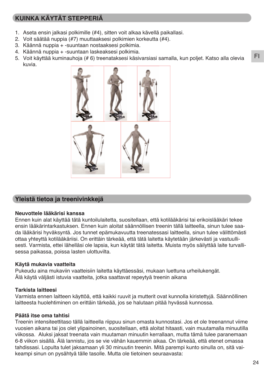## **KUINKA KÄYTÄT STEPPERIÄ**

- 1. Aseta ensin jalkasi polkimille (#4), sitten voit alkaa kävellä paikallasi.
- 2. Voit säätää nuppia (#7) muuttaaksesi polkimien korkeutta (#4).
- 3. Käännä nuppia + -suuntaan nostaaksesi polkimia.
- 4. Käännä nuppia + -suuntaan laskeaksesi polkimia.
- 5. Voit käyttää kuminauhoja (# 6) treenataksesi käsivarsiasi samalla, kun poljet. Katso alla olevia kuvia.



#### **Yleistä tietoa ja treenivinkkejä**

#### **Neuvottele lääkärisi kanssa**

Ennen kuin alat käyttää tätä kuntoilulaitetta, suositellaan, että kotilääkärisi tai erikoislääkäri tekee ensin lääkärintarkastuksen. Ennen kuin aloitat säännöllisen treenin tällä laitteella, sinun tulee saada lääkärisi hyväksyntä. Jos tunnet epämukavuutta treenatessasi laitteella, sinun tulee välittömästi ottaa yhteyttä kotilääkäriisi. On erittäin tärkeää, että tätä laitetta käytetään järkevästi ja vastuullisesti. Varmista, ettei lähelläsi ole lapsia, kun käytät tätä laitetta. Muista myös säilyttää laite turvallisessa paikassa, poissa lasten ulottuvilta.

#### **Käytä mukavia vaatteita**

Pukeudu aina mukaviin vaatteisiin laitetta käyttäessäsi, mukaan luettuna urheilukengät. Älä käytä väljästi istuvia vaatteita, jotka saattavat repeytyä treenin aikana

#### **Tarkista laitteesi**

Varmista ennen laitteen käyttöä, että kaikki ruuvit ja mutterit ovat kunnolla kiristettyjä. Säännöllinen laitteesta huolehtiminen on erittäin tärkeää, jos se halutaan pitää hyvässä kunnossa.

#### **Päätä itse oma tahtisi**

Treenin intensiteettitaso tällä laitteella riippuu sinun omasta kunnostasi. Jos et ole treenannut viime vuosien aikana tai jos olet ylipainoinen, suositellaan, että aloitat hitaasti, vain muutamalla minuutilla viikossa. Aluksi jaksat treenata vain muutaman minuutin kerrallaan, mutta tämä tulee paranemaan 6-8 viikon sisällä. Älä lannistu, jos se vie vähän kauemmin aikaa. On tärkeää, että etenet omassa tahdissasi. Lopulta tulet jaksamaan yli 30 minuutin treenin. Mitä parempi kunto sinulla on, sitä vaikeampi sinun on pysähtyä tälle tasolle. Mutta ole tietoinen seuraavasta:

FI